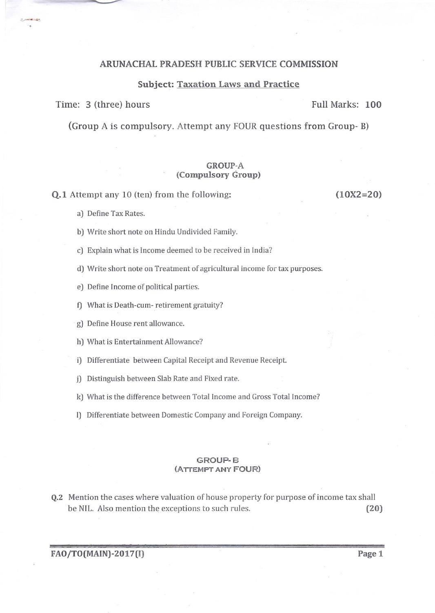# ARUNACHAL PRADESH PUBLIC SERVICE COMMISSION

### Subject: Taxation Laws and Practice

#### Time: 3 (three) hours Full Marks: 100

(Group A is compulsory. Attempt any FOUR questions from Group- B)

## GROUP.A (Compulsory Group)

Q.L Attempt any 1O (ten) from the following:

(10x2=20)

- a) Define Tax Rates.
- bJ Write short note on Hindu Undivided Family.
- c) Explain what is lncome deemed to be received in India?
- d) Write short note on Treatment of agricultural income for tax purposes.
- e) Define Income of political parties.
- f) What is Death-cum- retirement gratuity?
- g] Define House rent allowance.
- h) What is Entertainment Allowance?
- i) Differentiate between Capital Receipt and Revenue Receipt.
- j) Distinguish between Slab Rate and Fixed rate.
- kJ What is the difference between Total Income and Gross Total Income?
- lJ Differentiate between Domestic Company and Foreign Company.

## GROUP' E (ATTEMPT ANY FOUR)

Q.2 Mention the cases where valuation of house property for purpose of income tax shall be NIL. Also mention the exceptions to such rules. (20)

FAO/TO(MAIN)-2017(I) Page 1